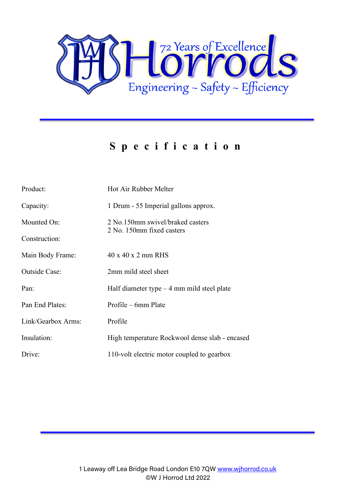

## **S pecification**

| Product:             | Hot Air Rubber Melter                                         |
|----------------------|---------------------------------------------------------------|
| Capacity:            | 1 Drum - 55 Imperial gallons approx.                          |
| Mounted On:          | 2 No.150mm swivel/braked casters<br>2 No. 150mm fixed casters |
| Construction:        |                                                               |
| Main Body Frame:     | 40 x 40 x 2 mm RHS                                            |
| <b>Outside Case:</b> | 2mm mild steel sheet                                          |
| Pan:                 | Half diameter type $-4$ mm mild steel plate                   |
| Pan End Plates:      | Profile – 6mm Plate                                           |
| Link/Gearbox Arms:   | Profile                                                       |
| Insulation:          | High temperature Rockwool dense slab - encased                |
| Drive:               | 110-volt electric motor coupled to gearbox                    |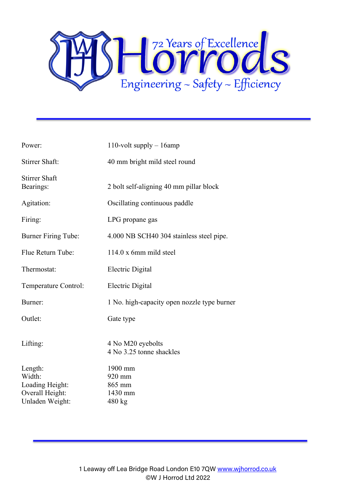

| Power:                            | 110-volt supply $-16$ amp                     |
|-----------------------------------|-----------------------------------------------|
| Stirrer Shaft:                    | 40 mm bright mild steel round                 |
| <b>Stirrer Shaft</b><br>Bearings: | 2 bolt self-aligning 40 mm pillar block       |
| Agitation:                        | Oscillating continuous paddle                 |
| Firing:                           | LPG propane gas                               |
| <b>Burner Firing Tube:</b>        | 4.000 NB SCH40 304 stainless steel pipe.      |
| Flue Return Tube:                 | 114.0 x 6mm mild steel                        |
| Thermostat:                       | <b>Electric Digital</b>                       |
| Temperature Control:              | Electric Digital                              |
| Burner:                           | 1 No. high-capacity open nozzle type burner   |
| Outlet:                           | Gate type                                     |
| Lifting:                          | 4 No M20 eyebolts<br>4 No 3.25 tonne shackles |
| Length:                           | 1900 mm                                       |
| Width:                            | 920 mm                                        |
| Loading Height:                   | 865 mm                                        |
| Overall Height:                   | 1430 mm                                       |
| Unladen Weight:                   | 480 kg                                        |